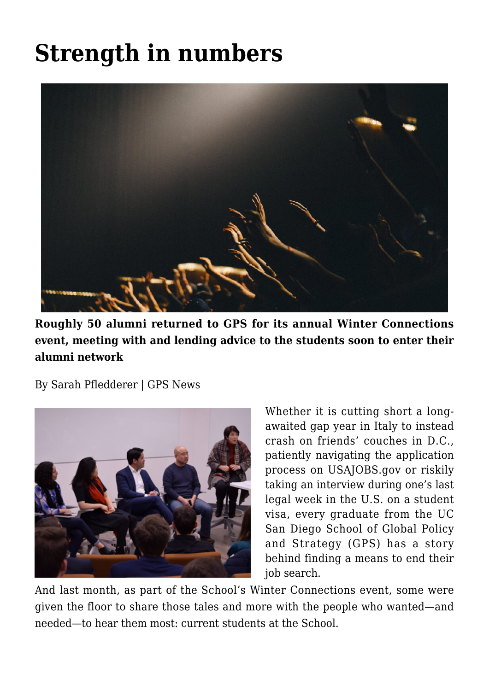## **[Strength in numbers](https://gpsnews.ucsd.edu/strength-in-numbers/)**



**Roughly 50 alumni returned to GPS for its annual Winter Connections event, meeting with and lending advice to the students soon to enter their alumni network**

By Sarah Pfledderer | GPS News



Whether it is cutting short a longawaited gap year in Italy to instead crash on friends' couches in D.C., patiently navigating the application process on USAJOBS.gov or riskily taking an interview during one's last legal week in the U.S. on a student visa, every graduate from the UC San Diego School of Global Policy and Strategy (GPS) has a story behind finding a means to end their job search.

And last month, as part of the School's Winter Connections event, some were given the floor to share those tales and more with the people who wanted—and needed—to hear them most: current students at the School.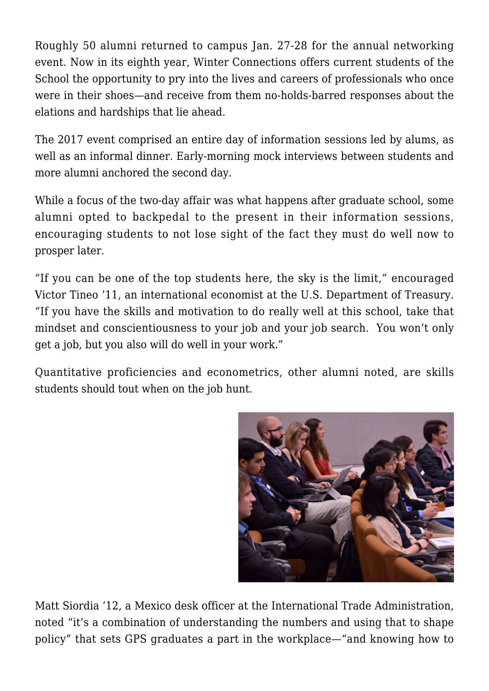Roughly 50 alumni returned to campus Jan. 27-28 for the annual networking event. Now in its eighth year, Winter Connections offers current students of the School the opportunity to pry into the lives and careers of professionals who once were in their shoes—and receive from them no-holds-barred responses about the elations and hardships that lie ahead.

The 2017 event comprised an entire day of information sessions led by alums, as well as an informal dinner. Early-morning mock interviews between students and more alumni anchored the second day.

While a focus of the two-day affair was what happens after graduate school, some alumni opted to backpedal to the present in their information sessions, encouraging students to not lose sight of the fact they must do well now to prosper later.

"If you can be one of the top students here, the sky is the limit," encouraged Victor Tineo '11, an international economist at the U.S. Department of Treasury. "If you have the skills and motivation to do really well at this school, take that mindset and conscientiousness to your job and your job search. You won't only get a job, but you also will do well in your work."

Quantitative proficiencies and econometrics, other alumni noted, are skills students should tout when on the job hunt.



Matt Siordia '12, a Mexico desk officer at the International Trade Administration, noted "it's a combination of understanding the numbers and using that to shape policy" that sets GPS graduates a part in the workplace—"and knowing how to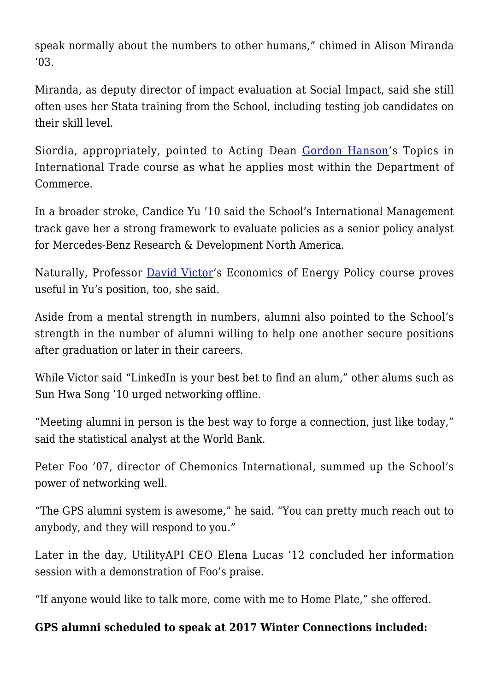speak normally about the numbers to other humans," chimed in Alison Miranda '03.

Miranda, as deputy director of impact evaluation at Social Impact, said she still often uses her Stata training from the School, including testing job candidates on their skill level.

Siordia, appropriately, pointed to Acting Dean [Gordon Hanson'](https://gps.ucsd.edu/faculty-directory/gordon-hanson.html)s Topics in International Trade course as what he applies most within the Department of Commerce.

In a broader stroke, Candice Yu '10 said the School's International Management track gave her a strong framework to evaluate policies as a senior policy analyst for Mercedes-Benz Research & Development North America.

Naturally, Professor [David Victor'](https://gps.ucsd.edu/faculty-directory/david-victor.html)s Economics of Energy Policy course proves useful in Yu's position, too, she said.

Aside from a mental strength in numbers, alumni also pointed to the School's strength in the number of alumni willing to help one another secure positions after graduation or later in their careers.

While Victor said "LinkedIn is your best bet to find an alum," other alums such as Sun Hwa Song '10 urged networking offline.

"Meeting alumni in person is the best way to forge a connection, just like today," said the statistical analyst at the World Bank.

Peter Foo '07, director of Chemonics International, summed up the School's power of networking well.

"The GPS alumni system is awesome," he said. "You can pretty much reach out to anybody, and they will respond to you."

Later in the day, UtilityAPI CEO Elena Lucas '12 concluded her information session with a demonstration of Foo's praise.

"If anyone would like to talk more, come with me to Home Plate," she offered.

## **GPS alumni scheduled to speak at 2017 Winter Connections included:**